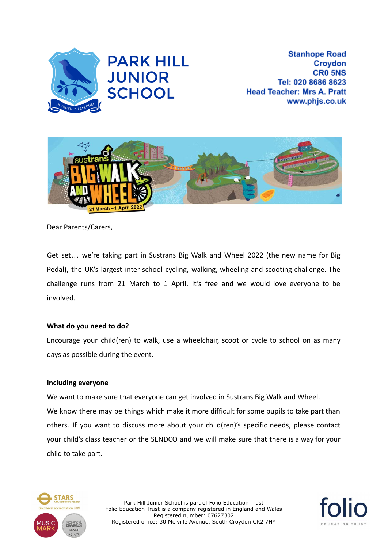

**Stanhope Road Croydon CRO 5NS** Tel: 020 8686 8623 **Head Teacher: Mrs A. Pratt** www.phjs.co.uk



Dear Parents/Carers,

Get set… we're taking part in Sustrans Big Walk and Wheel 2022 (the new name for Big Pedal), the UK's largest inter-school cycling, walking, wheeling and scooting challenge. The challenge runs from 21 March to 1 April. It's free and we would love everyone to be involved.

## **What do you need to do?**

Encourage your child(ren) to walk, use a wheelchair, scoot or cycle to school on as many days as possible during the event.

## **Including everyone**

We want to make sure that everyone can get involved in Sustrans Big Walk and Wheel. We know there may be things which make it more difficult for some pupils to take part than others. If you want to discuss more about your child(ren)'s specific needs, please contact your child's class teacher or the SENDCO and we will make sure that there is a way for your child to take part.



Park Hill Junior School is part of Folio Education Trust Folio Education Trust is a company registered in England and Wales Registered number: 07627302 Registered office: 30 Melville Avenue, South Croydon CR2 7HY

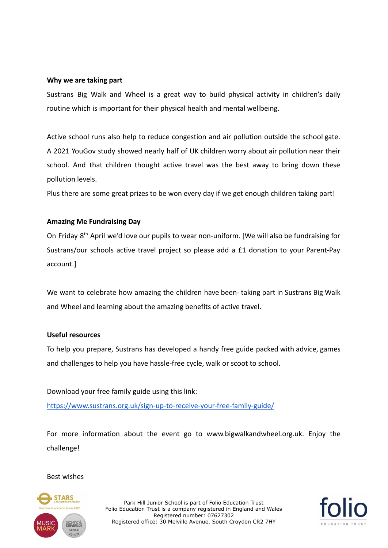## **Why we are taking part**

Sustrans Big Walk and Wheel is a great way to build physical activity in children's daily routine which is important for their physical health and mental wellbeing.

Active school runs also help to reduce congestion and air pollution outside the school gate. A 2021 YouGov study showed nearly half of UK children worry about air pollution near their school. And that children thought active travel was the best away to bring down these pollution levels.

Plus there are some great prizes to be won every day if we get enough children taking part!

# **Amazing Me Fundraising Day**

On Friday 8<sup>th</sup> April we'd love our pupils to wear non-uniform. [We will also be fundraising for Sustrans/our schools active travel project so please add a £1 donation to your Parent-Pay account.]

We want to celebrate how amazing the children have been- taking part in Sustrans Big Walk and Wheel and learning about the amazing benefits of active travel.

## **Useful resources**

To help you prepare, Sustrans has developed a handy free guide packed with advice, games and challenges to help you have hassle-free cycle, walk or scoot to school.

Download your free family guide using this link: <https://www.sustrans.org.uk/sign-up-to-receive-your-free-family-guide/>

For more information about the event go to www.bigwalkandwheel.org.uk. Enjoy the challenge!

## Best wishes



Park Hill Junior School is part of Folio Education Trust Folio Education Trust is a company registered in England and Wales Registered number: 07627302 Registered office: 30 Melville Avenue, South Croydon CR2 7HY